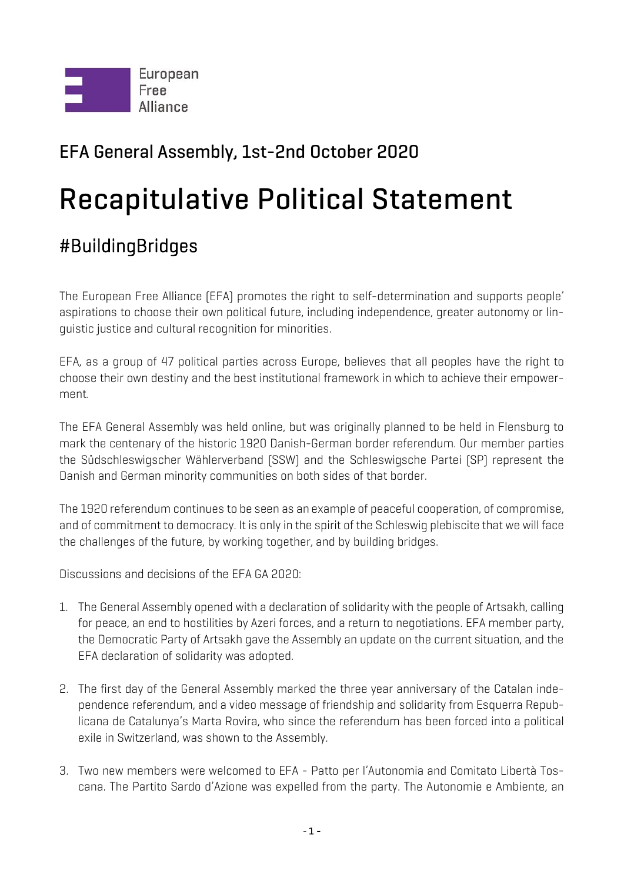

## EFA General Assembly, 1st-2nd October 2020

## Recapitulative Political Statement

## #BuildingBridges

The European Free Alliance (EFA) promotes the right to self-determination and supports people' aspirations to choose their own political future, including independence, greater autonomy or linguistic justice and cultural recognition for minorities.

EFA, as a group of 47 political parties across Europe, believes that all peoples have the right to choose their own destiny and the best institutional framework in which to achieve their empowerment.

The EFA General Assembly was held online, but was originally planned to be held in Flensburg to mark the centenary of the historic 1920 Danish-German border referendum. Our member parties the Südschleswigscher Wählerverband (SSW) and the Schleswigsche Partei (SP) represent the Danish and German minority communities on both sides of that border.

The 1920 referendum continues to be seen as an example of peaceful cooperation, of compromise, and of commitment to democracy. It is only in the spirit of the Schleswig plebiscite that we will face the challenges of the future, by working together, and by building bridges.

Discussions and decisions of the EFA GA 2020:

- 1. The General Assembly opened with a declaration of solidarity with the people of Artsakh, calling for peace, an end to hostilities by Azeri forces, and a return to negotiations. EFA member party, the Democratic Party of Artsakh gave the Assembly an update on the current situation, and the EFA declaration of solidarity was adopted.
- 2. The first day of the General Assembly marked the three year anniversary of the Catalan independence referendum, and a video message of friendship and solidarity from Esquerra Republicana de Catalunya's Marta Rovira, who since the referendum has been forced into a political exile in Switzerland, was shown to the Assembly.
- 3. Two new members were welcomed to EFA Patto per l'Autonomia and Comitato Libertà Toscana. The Partito Sardo d'Azione was expelled from the party. The Autonomie e Ambiente, an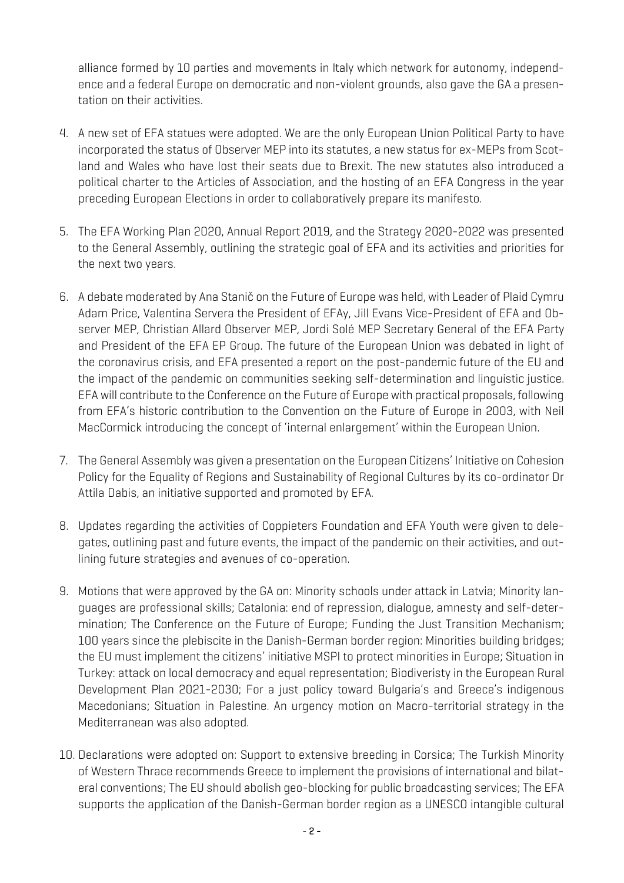alliance formed by 10 parties and movements in Italy which network for autonomy, independence and a federal Europe on democratic and non-violent grounds, also gave the GA a presentation on their activities.

- 4. A new set of EFA statues were adopted. We are the only European Union Political Party to have incorporated the status of Observer MEP into its statutes, a new status for ex-MEPs from Scotland and Wales who have lost their seats due to Brexit. The new statutes also introduced a political charter to the Articles of Association, and the hosting of an EFA Congress in the year preceding European Elections in order to collaboratively prepare its manifesto.
- 5. The EFA Working Plan 2020, Annual Report 2019, and the Strategy 2020-2022 was presented to the General Assembly, outlining the strategic goal of EFA and its activities and priorities for the next two years.
- 6. A debate moderated by Ana Stanič on the Future of Europe was held, with Leader of Plaid Cymru Adam Price, Valentina Servera the President of EFAy, Jill Evans Vice-President of EFA and Observer MEP, Christian Allard Observer MEP, Jordi Solé MEP Secretary General of the EFA Party and President of the EFA EP Group. The future of the European Union was debated in light of the coronavirus crisis, and EFA presented a report on the post-pandemic future of the EU and the impact of the pandemic on communities seeking self-determination and linguistic justice. EFA will contribute to the Conference on the Future of Europe with practical proposals, following from EFA's historic contribution to the Convention on the Future of Europe in 2003, with Neil MacCormick introducing the concept of 'internal enlargement' within the European Union.
- 7. The General Assembly was given a presentation on the European Citizens' Initiative on Cohesion Policy for the Equality of Regions and Sustainability of Regional Cultures by its co-ordinator Dr Attila Dabis, an initiative supported and promoted by EFA.
- 8. Updates regarding the activities of Coppieters Foundation and EFA Youth were given to delegates, outlining past and future events, the impact of the pandemic on their activities, and outlining future strategies and avenues of co-operation.
- 9. Motions that were approved by the GA on: Minority schools under attack in Latvia; Minority languages are professional skills; Catalonia: end of repression, dialogue, amnesty and self-determination; The Conference on the Future of Europe; Funding the Just Transition Mechanism; 100 years since the plebiscite in the Danish-German border region: Minorities building bridges; the EU must implement the citizens' initiative MSPI to protect minorities in Europe; Situation in Turkey: attack on local democracy and equal representation; Biodiveristy in the European Rural Development Plan 2021-2030; For a just policy toward Bulgaria's and Greece's indigenous Macedonians; Situation in Palestine. An urgency motion on Macro-territorial strategy in the Mediterranean was also adopted.
- 10. Declarations were adopted on: Support to extensive breeding in Corsica; The Turkish Minority of Western Thrace recommends Greece to implement the provisions of international and bilateral conventions; The EU should abolish geo-blocking for public broadcasting services; The EFA supports the application of the Danish-German border region as a UNESCO intangible cultural